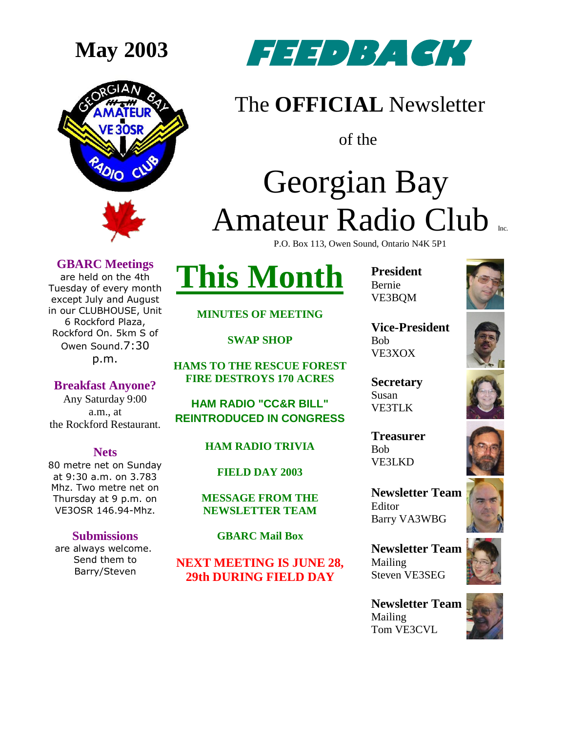



### The **OFFICIAL** Newsletter

of the

### Georgian Bay Amateur Radio Club P.O. Box 113, Owen Sound, Ontario N4K 5P1

**GBARC Meetings**

are held on the 4th Tuesday of every month except July and August in our CLUBHOUSE, Unit 6 Rockford Plaza, Rockford On. 5km S of Owen Sound.7:30 p.m.

**Breakfast Anyone?** Any Saturday 9:00 a.m., at the Rockford Restaurant.

**Nets** 80 metre net on Sunday at 9:30 a.m. on 3.783 Mhz. Two metre net on Thursday at 9 p.m. on VE3OSR 146.94-Mhz.

**Submissions** are always welcome. Send them to Barry/Steven

# **This Month**

**President** Bernie VE3BQM



**Vice-President** Bob VE3XOX

**Secretary** Susan VE3TLK

**Treasurer** Bob VE3LKD

**Newsletter Team** 

**Newsletter Team**  Mailing Steven VE3SEG

**Newsletter Team**  Mailing Tom VE3CVL











**MINUTES OF MEETING**

**SWAP SHOP**

**HAMS TO THE RESCUE FOREST FIRE DESTROYS 170 ACRES**

**HAM RADIO "CC&R BILL" REINTRODUCED IN CONGRESS**

### **HAM RADIO TRIVIA**

**FIELD DAY 2003**

**MESSAGE FROM THE NEWSLETTER TEAM**

**GBARC Mail Box**

**NEXT MEETING IS JUNE 28, 29th DURING FIELD DAY**

Editor Barry VA3WBG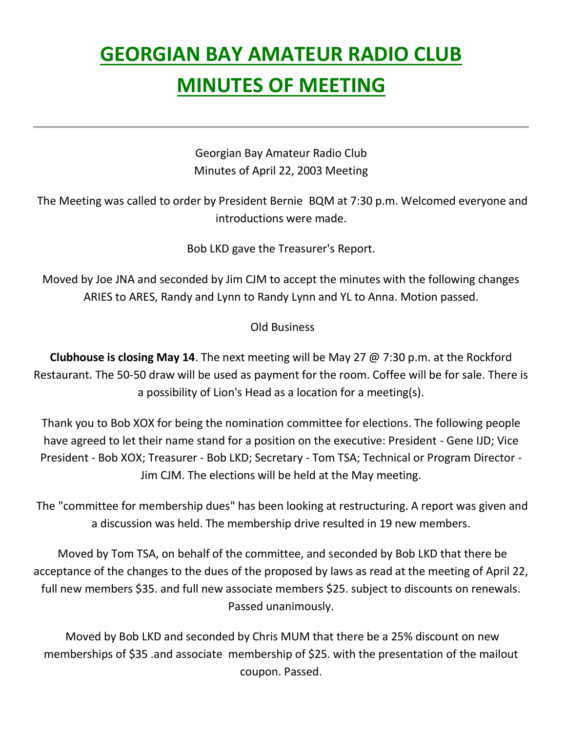### **GEORGIAN BAY AMATEUR RADIO CLUB MINUTES OF MEETING**

Georgian Bay Amateur Radio Club Minutes of April 22, 2003 Meeting

The Meeting was called to order by President Bernie BQM at 7:30 p.m. Welcomed everyone and introductions were made.

Bob LKD gave the Treasurer's Report.

Moved by Joe JNA and seconded by Jim CJM to accept the minutes with the following changes ARIES to ARES, Randy and Lynn to Randy Lynn and YL to Anna. Motion passed.

Old Business

**Clubhouse is closing May 14**. The next meeting will be May 27 @ 7:30 p.m. at the Rockford Restaurant. The 50-50 draw will be used as payment for the room. Coffee will be for sale. There is a possibility of Lion's Head as a location for a meeting(s).

Thank you to Bob XOX for being the nomination committee for elections. The following people have agreed to let their name stand for a position on the executive: President - Gene IJD; Vice President - Bob XOX; Treasurer - Bob LKD; Secretary - Tom TSA; Technical or Program Director - Jim CJM. The elections will be held at the May meeting.

The "committee for membership dues" has been looking at restructuring. A report was given and a discussion was held. The membership drive resulted in 19 new members.

Moved by Tom TSA, on behalf of the committee, and seconded by Bob LKD that there be acceptance of the changes to the dues of the proposed by laws as read at the meeting of April 22, full new members \$35. and full new associate members \$25. subject to discounts on renewals. Passed unanimously.

Moved by Bob LKD and seconded by Chris MUM that there be a 25% discount on new memberships of \$35 .and associate membership of \$25. with the presentation of the mailout coupon. Passed.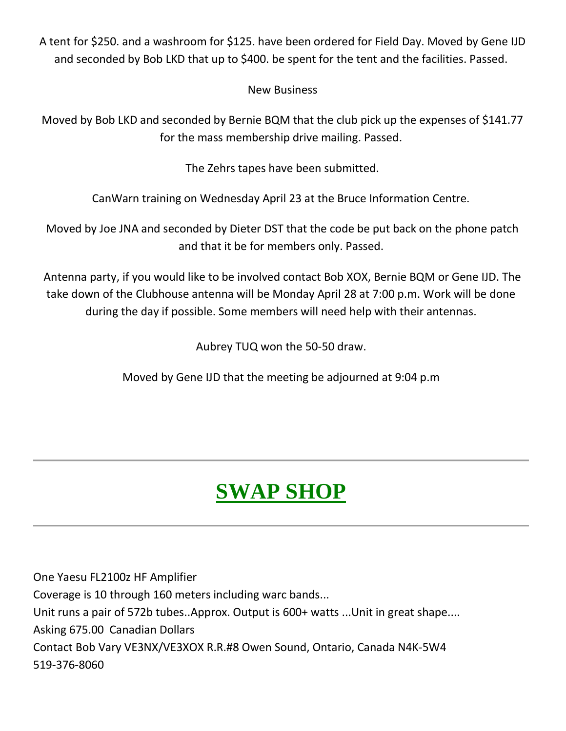A tent for \$250. and a washroom for \$125. have been ordered for Field Day. Moved by Gene IJD and seconded by Bob LKD that up to \$400. be spent for the tent and the facilities. Passed.

### New Business

Moved by Bob LKD and seconded by Bernie BQM that the club pick up the expenses of \$141.77 for the mass membership drive mailing. Passed.

The Zehrs tapes have been submitted.

CanWarn training on Wednesday April 23 at the Bruce Information Centre.

Moved by Joe JNA and seconded by Dieter DST that the code be put back on the phone patch and that it be for members only. Passed.

Antenna party, if you would like to be involved contact Bob XOX, Bernie BQM or Gene IJD. The take down of the Clubhouse antenna will be Monday April 28 at 7:00 p.m. Work will be done during the day if possible. Some members will need help with their antennas.

Aubrey TUQ won the 50-50 draw.

Moved by Gene IJD that the meeting be adjourned at 9:04 p.m

## **SWAP SHOP**

One Yaesu FL2100z HF Amplifier Coverage is 10 through 160 meters including warc bands... Unit runs a pair of 572b tubes..Approx. Output is 600+ watts ...Unit in great shape.... Asking 675.00 Canadian Dollars Contact Bob Vary VE3NX/VE3XOX R.R.#8 Owen Sound, Ontario, Canada N4K-5W4 519-376-8060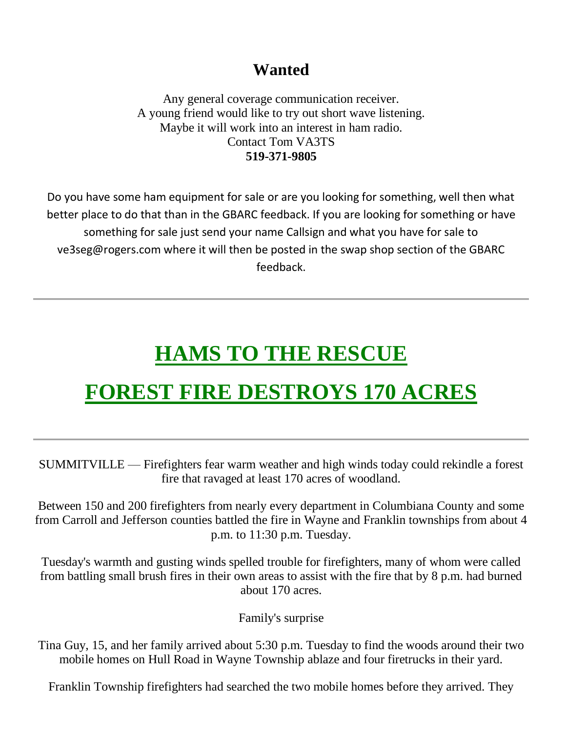### **Wanted**

Any general coverage communication receiver. A young friend would like to try out short wave listening. Maybe it will work into an interest in ham radio. Contact Tom VA3TS **519-371-9805**

Do you have some ham equipment for sale or are you looking for something, well then what better place to do that than in the GBARC feedback. If you are looking for something or have something for sale just send your name Callsign and what you have for sale to ve3seg@rogers.com where it will then be posted in the swap shop section of the GBARC feedback.

### **HAMS TO THE RESCUE**

### **FOREST FIRE DESTROYS 170 ACRES**

SUMMITVILLE — Firefighters fear warm weather and high winds today could rekindle a forest fire that ravaged at least 170 acres of woodland.

Between 150 and 200 firefighters from nearly every department in Columbiana County and some from Carroll and Jefferson counties battled the fire in Wayne and Franklin townships from about 4 p.m. to 11:30 p.m. Tuesday.

Tuesday's warmth and gusting winds spelled trouble for firefighters, many of whom were called from battling small brush fires in their own areas to assist with the fire that by 8 p.m. had burned about 170 acres.

Family's surprise

Tina Guy, 15, and her family arrived about 5:30 p.m. Tuesday to find the woods around their two mobile homes on Hull Road in Wayne Township ablaze and four firetrucks in their yard.

Franklin Township firefighters had searched the two mobile homes before they arrived. They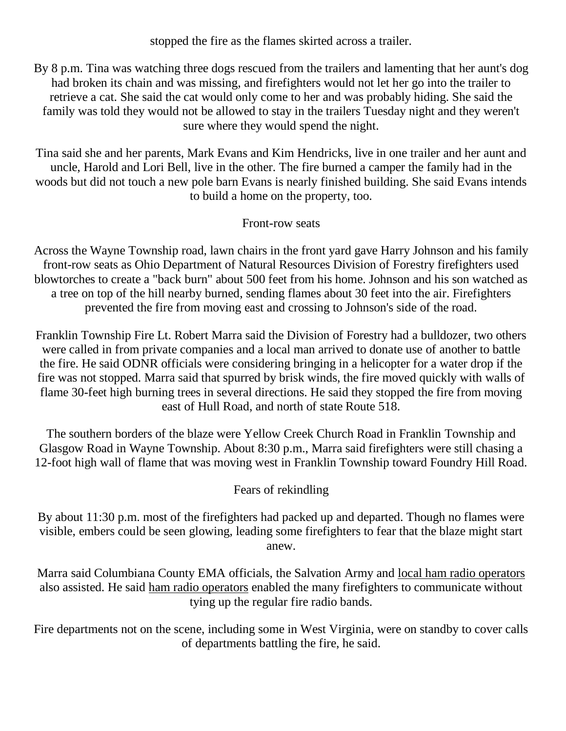stopped the fire as the flames skirted across a trailer.

By 8 p.m. Tina was watching three dogs rescued from the trailers and lamenting that her aunt's dog had broken its chain and was missing, and firefighters would not let her go into the trailer to retrieve a cat. She said the cat would only come to her and was probably hiding. She said the family was told they would not be allowed to stay in the trailers Tuesday night and they weren't sure where they would spend the night.

Tina said she and her parents, Mark Evans and Kim Hendricks, live in one trailer and her aunt and uncle, Harold and Lori Bell, live in the other. The fire burned a camper the family had in the woods but did not touch a new pole barn Evans is nearly finished building. She said Evans intends to build a home on the property, too.

Front-row seats

Across the Wayne Township road, lawn chairs in the front yard gave Harry Johnson and his family front-row seats as Ohio Department of Natural Resources Division of Forestry firefighters used blowtorches to create a "back burn" about 500 feet from his home. Johnson and his son watched as a tree on top of the hill nearby burned, sending flames about 30 feet into the air. Firefighters prevented the fire from moving east and crossing to Johnson's side of the road.

Franklin Township Fire Lt. Robert Marra said the Division of Forestry had a bulldozer, two others were called in from private companies and a local man arrived to donate use of another to battle the fire. He said ODNR officials were considering bringing in a helicopter for a water drop if the fire was not stopped. Marra said that spurred by brisk winds, the fire moved quickly with walls of flame 30-feet high burning trees in several directions. He said they stopped the fire from moving east of Hull Road, and north of state Route 518.

The southern borders of the blaze were Yellow Creek Church Road in Franklin Township and Glasgow Road in Wayne Township. About 8:30 p.m., Marra said firefighters were still chasing a 12-foot high wall of flame that was moving west in Franklin Township toward Foundry Hill Road.

### Fears of rekindling

By about 11:30 p.m. most of the firefighters had packed up and departed. Though no flames were visible, embers could be seen glowing, leading some firefighters to fear that the blaze might start anew.

Marra said Columbiana County EMA officials, the Salvation Army and local ham radio operators also assisted. He said ham radio operators enabled the many firefighters to communicate without tying up the regular fire radio bands.

Fire departments not on the scene, including some in West Virginia, were on standby to cover calls of departments battling the fire, he said.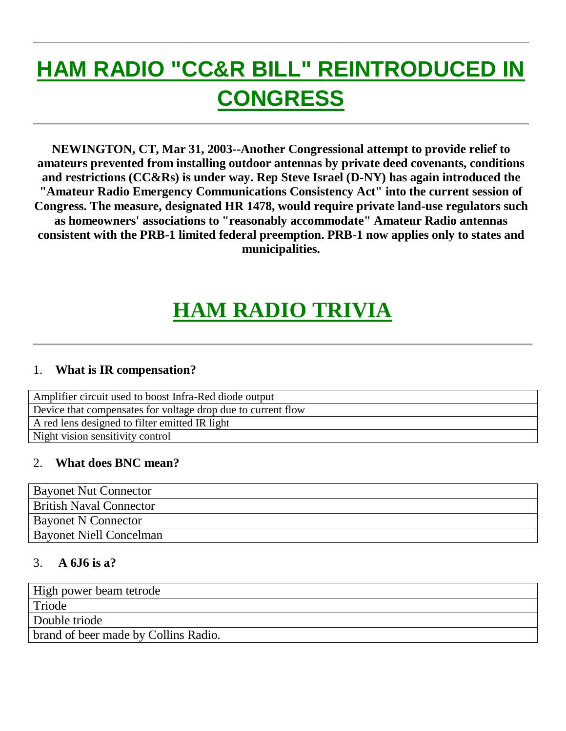## **HAM RADIO "CC&R BILL" REINTRODUCED IN CONGRESS**

**NEWINGTON, CT, Mar 31, 2003--Another Congressional attempt to provide relief to amateurs prevented from installing outdoor antennas by private deed covenants, conditions and restrictions (CC&Rs) is under way. Rep Steve Israel (D-NY) has again introduced the "Amateur Radio Emergency Communications Consistency Act" into the current session of Congress. The measure, designated HR 1478, would require private land-use regulators such as homeowners' associations to "reasonably accommodate" Amateur Radio antennas consistent with the PRB-1 limited federal preemption. PRB-1 now applies only to states and municipalities.** 

### **HAM RADIO TRIVIA**

### 1. **What is IR compensation?**

| Amplifier circuit used to boost Infra-Red diode output       |
|--------------------------------------------------------------|
| Device that compensates for voltage drop due to current flow |
| A red lens designed to filter emitted IR light               |
| Night vision sensitivity control                             |

#### 2. **What does BNC mean?**

| <b>Bayonet Nut Connector</b>   |
|--------------------------------|
| <b>British Naval Connector</b> |
| <b>Bayonet N Connector</b>     |
| <b>Bayonet Niell Concelman</b> |

#### 3. **A 6J6 is a?**

| High power beam tetrode              |
|--------------------------------------|
| Triode                               |
| Double triode                        |
| brand of beer made by Collins Radio. |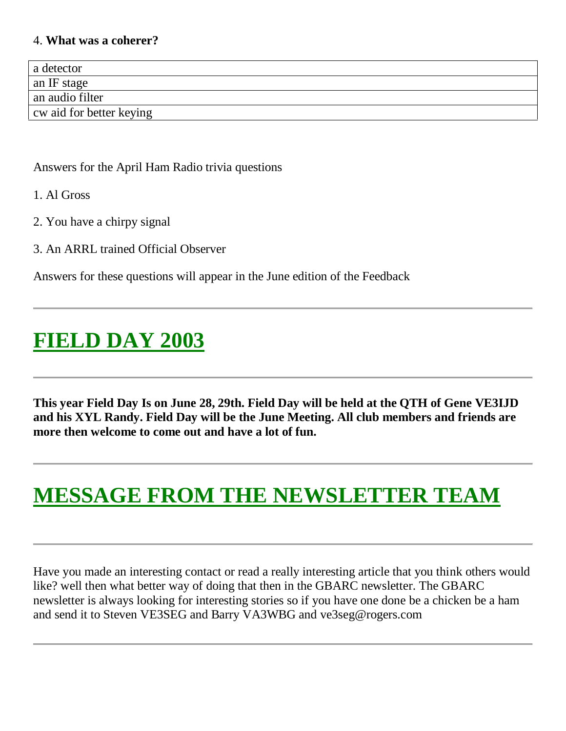#### 4. **What was a coherer?**

| a detector               |
|--------------------------|
| an IF stage              |
| an audio filter          |
| cw aid for better keying |

#### Answers for the April Ham Radio trivia questions

- 1. Al Gross
- 2. You have a chirpy signal
- 3. An ARRL trained Official Observer

Answers for these questions will appear in the June edition of the Feedback

### **FIELD DAY 2003**

**This year Field Day Is on June 28, 29th. Field Day will be held at the QTH of Gene VE3IJD and his XYL Randy. Field Day will be the June Meeting. All club members and friends are more then welcome to come out and have a lot of fun.**

### **MESSAGE FROM THE NEWSLETTER TEAM**

Have you made an interesting contact or read a really interesting article that you think others would like? well then what better way of doing that then in the GBARC newsletter. The GBARC newsletter is always looking for interesting stories so if you have one done be a chicken be a ham and send it to Steven VE3SEG and Barry VA3WBG and ve3seg@rogers.com